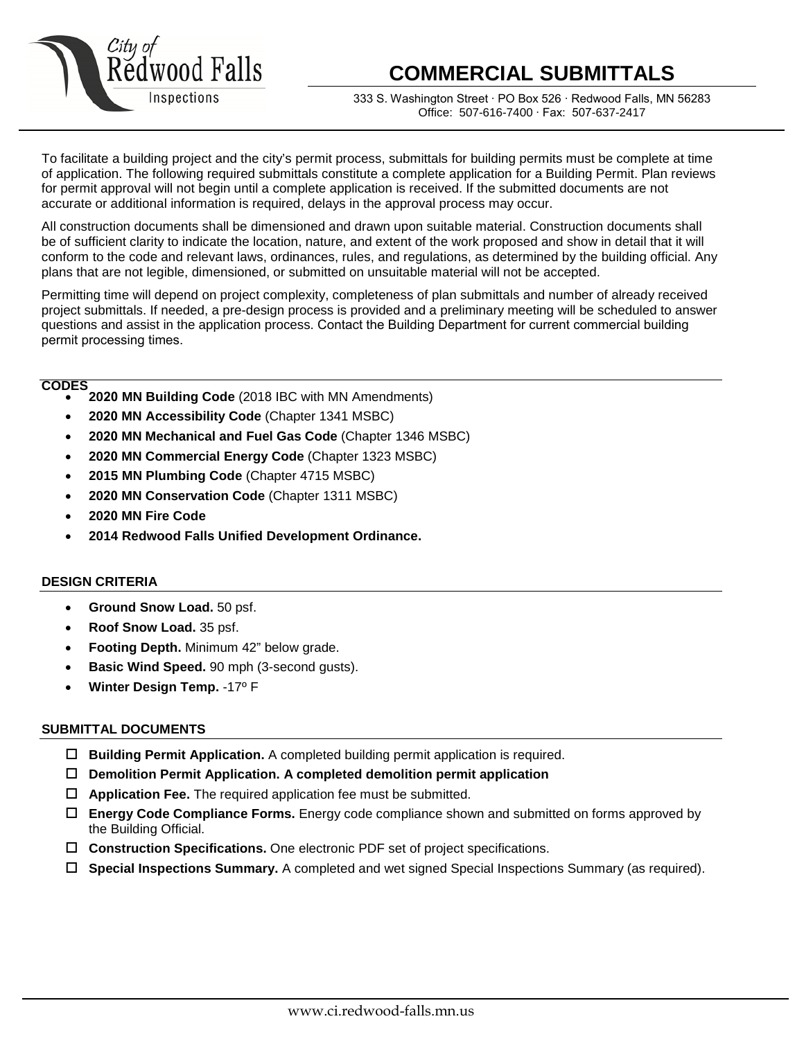

# **COMMERCIAL SUBMITTALS**

333 S. Washington Street ∙ PO Box 526 ∙ Redwood Falls, MN 56283 Office: 507-616-7400 ∙ Fax: 507-637-2417

To facilitate a building project and the city's permit process, submittals for building permits must be complete at time of application. The following required submittals constitute a complete application for a Building Permit. Plan reviews for permit approval will not begin until a complete application is received. If the submitted documents are not accurate or additional information is required, delays in the approval process may occur.

All construction documents shall be dimensioned and drawn upon suitable material. Construction documents shall be of sufficient clarity to indicate the location, nature, and extent of the work proposed and show in detail that it will conform to the code and relevant laws, ordinances, rules, and regulations, as determined by the building official. Any plans that are not legible, dimensioned, or submitted on unsuitable material will not be accepted.

Permitting time will depend on project complexity, completeness of plan submittals and number of already received project submittals. If needed, a pre-design process is provided and a preliminary meeting will be scheduled to answer questions and assist in the application process. Contact the Building Department for current commercial building permit processing times.

#### **CODES**

- **2020 MN Building Code** (2018 IBC with MN Amendments)
- **2020 MN Accessibility Code** (Chapter 1341 MSBC)
- **2020 MN Mechanical and Fuel Gas Code** (Chapter 1346 MSBC)
- **2020 MN Commercial Energy Code** (Chapter 1323 MSBC)
- **2015 MN Plumbing Code** (Chapter 4715 MSBC)
- **2020 MN Conservation Code** (Chapter 1311 MSBC)
- **2020 MN Fire Code**
- **2014 Redwood Falls Unified Development Ordinance.**

## **DESIGN CRITERIA**

- **Ground Snow Load.** 50 psf.
- **Roof Snow Load.** 35 psf.
- **Footing Depth.** Minimum 42" below grade.
- **Basic Wind Speed.** 90 mph (3-second gusts).
- **Winter Design Temp.** -17º F

## **SUBMITTAL DOCUMENTS**

- **Building Permit Application.** A completed building permit application is required.
- **Demolition Permit Application. A completed demolition permit application**
- **Application Fee.** The required application fee must be submitted.
- **Energy Code Compliance Forms.** Energy code compliance shown and submitted on forms approved by the Building Official.
- **Construction Specifications.** One electronic PDF set of project specifications.
- **Special Inspections Summary.** A completed and wet signed Special Inspections Summary (as required).